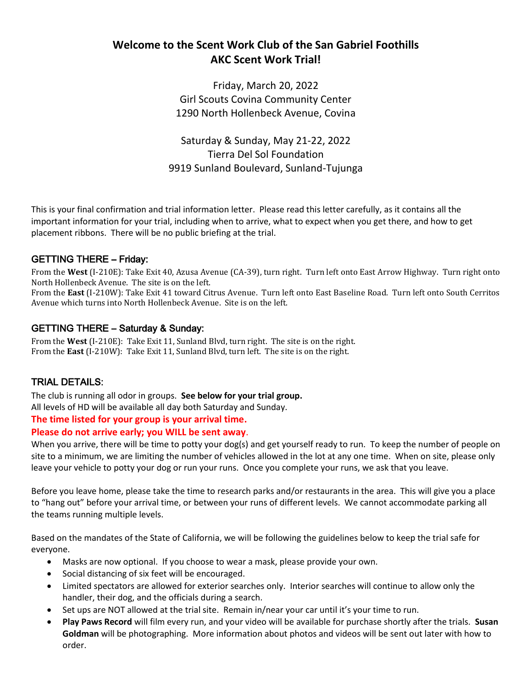## **Welcome to the Scent Work Club of the San Gabriel Foothills AKC Scent Work Trial!**

Friday, March 20, 2022 Girl Scouts Covina Community Center 1290 North Hollenbeck Avenue, Covina

Saturday & Sunday, May 21-22, 2022 Tierra Del Sol Foundation 9919 Sunland Boulevard, Sunland-Tujunga

This is your final confirmation and trial information letter. Please read this letter carefully, as it contains all the important information for your trial, including when to arrive, what to expect when you get there, and how to get placement ribbons. There will be no public briefing at the trial.

## GETTING THERE – Friday:

From the **West** (I-210E): Take Exit 40, Azusa Avenue (CA-39), turn right. Turn left onto East Arrow Highway. Turn right onto North Hollenbeck Avenue. The site is on the left.

From the **East** (I-210W): Take Exit 41 toward Citrus Avenue. Turn left onto East Baseline Road. Turn left onto South Cerritos Avenue which turns into North Hollenbeck Avenue. Site is on the left.

### GETTING THERE – Saturday & Sunday:

From the **West** (I-210E): Take Exit 11, Sunland Blvd, turn right. The site is on the right. From the **East** (I-210W): Take Exit 11, Sunland Blvd, turn left. The site is on the right.

## TRIAL DETAILS:

The club is running all odor in groups. **See below for your trial group.**  All levels of HD will be available all day both Saturday and Sunday.

### **The time listed for your group is your arrival time.**

### **Please do not arrive early; you WILL be sent away**.

When you arrive, there will be time to potty your dog(s) and get yourself ready to run. To keep the number of people on site to a minimum, we are limiting the number of vehicles allowed in the lot at any one time. When on site, please only leave your vehicle to potty your dog or run your runs. Once you complete your runs, we ask that you leave.

Before you leave home, please take the time to research parks and/or restaurants in the area. This will give you a place to "hang out" before your arrival time, or between your runs of different levels. We cannot accommodate parking all the teams running multiple levels.

Based on the mandates of the State of California, we will be following the guidelines below to keep the trial safe for everyone.

- Masks are now optional. If you choose to wear a mask, please provide your own.
- Social distancing of six feet will be encouraged.
- Limited spectators are allowed for exterior searches only. Interior searches will continue to allow only the handler, their dog, and the officials during a search.
- Set ups are NOT allowed at the trial site. Remain in/near your car until it's your time to run.
- **Play Paws Record** will film every run, and your video will be available for purchase shortly after the trials. **Susan Goldman** will be photographing. More information about photos and videos will be sent out later with how to order.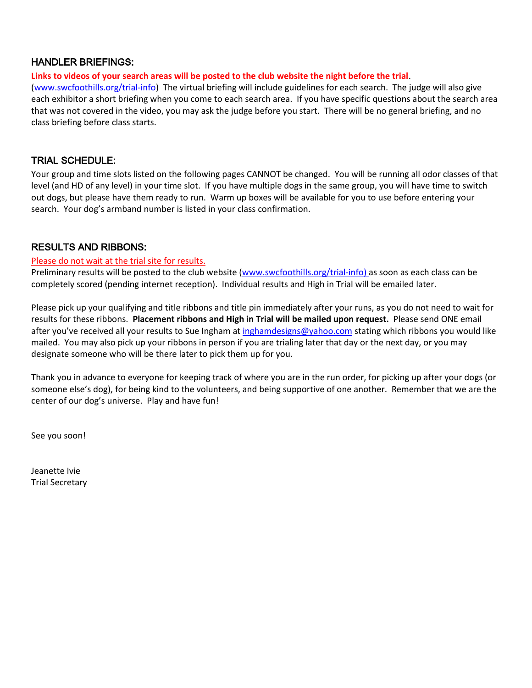### HANDLER BRIEFINGS:

**Links to videos of your search areas will be posted to the club website the night before the trial**.

[\(www.swcfoothills.org/trial-info\)](http://www.swcfoothills.org/trial-info) The virtual briefing will include guidelines for each search. The judge will also give each exhibitor a short briefing when you come to each search area. If you have specific questions about the search area that was not covered in the video, you may ask the judge before you start. There will be no general briefing, and no class briefing before class starts.

### TRIAL SCHEDULE:

Your group and time slots listed on the following pages CANNOT be changed. You will be running all odor classes of that level (and HD of any level) in your time slot. If you have multiple dogs in the same group, you will have time to switch out dogs, but please have them ready to run. Warm up boxes will be available for you to use before entering your search. Your dog's armband number is listed in your class confirmation.

### RESULTS AND RIBBONS:

### Please do not wait at the trial site for results.

Preliminary results will be posted to the club website [\(www.swcfoothills.org/trial-info\)](http://www.swcfoothills.org/trial-info) as soon as each class can be completely scored (pending internet reception). Individual results and High in Trial will be emailed later.

Please pick up your qualifying and title ribbons and title pin immediately after your runs, as you do not need to wait for results for these ribbons. **Placement ribbons and High in Trial will be mailed upon request.** Please send ONE email after you've received all your results to Sue Ingham at [inghamdesigns@yahoo.com](mailto:inghamdesigns@yahoo.com) stating which ribbons you would like mailed. You may also pick up your ribbons in person if you are trialing later that day or the next day, or you may designate someone who will be there later to pick them up for you.

Thank you in advance to everyone for keeping track of where you are in the run order, for picking up after your dogs (or someone else's dog), for being kind to the volunteers, and being supportive of one another. Remember that we are the center of our dog's universe. Play and have fun!

See you soon!

Jeanette Ivie Trial Secretary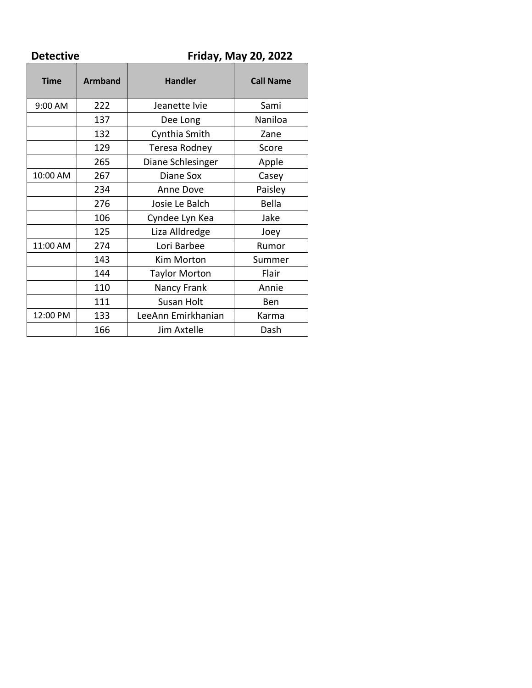| <b>Detective</b> |                | <b>Friday, May 20, 2022</b> |                  |  |
|------------------|----------------|-----------------------------|------------------|--|
| <b>Time</b>      | <b>Armband</b> | <b>Handler</b>              | <b>Call Name</b> |  |
| 9:00 AM          | 222            | Jeanette Ivie               | Sami             |  |
|                  | 137            | Dee Long                    | Naniloa          |  |
|                  | 132            | Cynthia Smith               | Zane             |  |
|                  | 129            | Teresa Rodney               | Score            |  |
|                  | 265            | Diane Schlesinger           | Apple            |  |
| 10:00 AM         | 267            | Diane Sox                   | Casey            |  |
|                  | 234            | Anne Dove                   | Paisley          |  |
|                  | 276            | Josie Le Balch              | Bella            |  |
|                  | 106            | Cyndee Lyn Kea              | Jake             |  |
|                  | 125            | Liza Alldredge              | Joey             |  |
| 11:00 AM         | 274            | Lori Barbee                 | Rumor            |  |
|                  | 143            | Kim Morton                  | Summer           |  |
|                  | 144            | <b>Taylor Morton</b>        | Flair            |  |
|                  | 110            | Nancy Frank                 | Annie            |  |
|                  | 111            | Susan Holt                  | Ben              |  |
| 12:00 PM         | 133            | LeeAnn Emirkhanian          | Karma            |  |
|                  | 166            | Jim Axtelle                 | Dash             |  |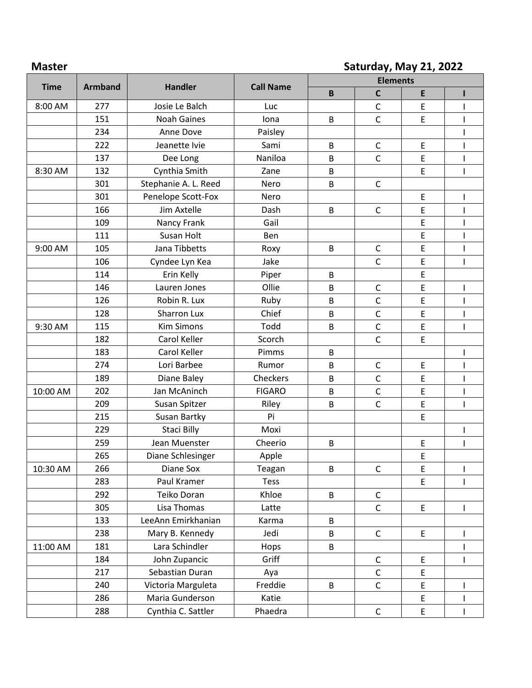## **Master Saturday, May 21, 2022**

|             |                |                      |                  | <b>Elements</b> |              |                                            |              |
|-------------|----------------|----------------------|------------------|-----------------|--------------|--------------------------------------------|--------------|
| <b>Time</b> | <b>Armband</b> | <b>Handler</b>       | <b>Call Name</b> | $\mathbf B$     | $\mathsf C$  | E                                          |              |
| 8:00 AM     | 277            | Josie Le Balch       | Luc              |                 | $\mathsf C$  | E                                          | ı            |
|             | 151            | <b>Noah Gaines</b>   | lona             | B               | $\mathsf{C}$ | E                                          |              |
|             | 234            | Anne Dove            | Paisley          |                 |              |                                            |              |
|             | 222            | Jeanette Ivie        | Sami             | B               | C            | E                                          |              |
|             | 137            | Dee Long             | Naniloa          | B               | $\mathsf{C}$ | E                                          |              |
| 8:30 AM     | 132            | Cynthia Smith        | Zane             | В               |              | E                                          |              |
|             | 301            | Stephanie A. L. Reed | Nero             | B               | $\mathsf{C}$ |                                            |              |
|             | 301            | Penelope Scott-Fox   | Nero             |                 |              | E                                          |              |
|             | 166            | Jim Axtelle          | Dash             | B               | $\mathsf{C}$ | E                                          |              |
|             | 109            | Nancy Frank          | Gail             |                 |              | E                                          |              |
|             | 111            | Susan Holt           | Ben              |                 |              | E                                          |              |
| 9:00 AM     | 105            | Jana Tibbetts        | Roxy             | B               | $\mathsf C$  | E                                          |              |
|             | 106            | Cyndee Lyn Kea       | Jake             |                 | $\mathsf{C}$ | E                                          | ı            |
|             | 114            | Erin Kelly           | Piper            | B               |              | E                                          |              |
|             | 146            | Lauren Jones         | Ollie            | B               | $\mathsf C$  | E                                          |              |
|             | 126            | Robin R. Lux         | Ruby             | B               | $\mathsf{C}$ | E                                          | $\mathsf{I}$ |
|             | 128            | Sharron Lux          | Chief            | B               | $\mathsf C$  | E                                          |              |
| 9:30 AM     | 115            | <b>Kim Simons</b>    | Todd             | B               | $\mathsf C$  | E                                          | $\mathsf{I}$ |
|             | 182            | Carol Keller         | Scorch           |                 | $\mathsf{C}$ | E                                          |              |
|             | 183            | Carol Keller         | Pimms            | B               |              |                                            |              |
|             | 274            | Lori Barbee          | Rumor            | B               | $\mathsf{C}$ | E                                          |              |
|             | 189            | Diane Baley          | Checkers         | B               | $\mathsf C$  | E                                          |              |
| 10:00 AM    | 202            | Jan McAninch         | <b>FIGARO</b>    | B               | $\mathsf C$  | E                                          |              |
|             | 209            | Susan Spitzer        | Riley            | B               | $\mathsf C$  | E                                          | $\mathsf{I}$ |
|             | 215            | Susan Bartky         | Pi               |                 |              | E                                          |              |
|             | 229            | Staci Billy          | Moxi             |                 |              |                                            |              |
|             | 259            | Jean Muenster        | Cheerio          | B               |              | E                                          |              |
|             | 265            | Diane Schlesinger    | Apple            |                 |              | E                                          |              |
| 10:30 AM    | 266            | Diane Sox            | Teagan           | B               | $\mathsf C$  | E                                          | I            |
|             | 283            | Paul Kramer          | <b>Tess</b>      |                 |              | E.                                         | T            |
|             | 292            | Teiko Doran          | Khloe            | B               | $\mathsf{C}$ |                                            |              |
|             | 305            | Lisa Thomas          | Latte            |                 | $\mathsf{C}$ | E                                          | $\mathsf{I}$ |
|             | 133            | LeeAnn Emirkhanian   | Karma            | B               |              |                                            |              |
|             | 238            | Mary B. Kennedy      | Jedi             | B               | $\mathsf{C}$ | E                                          | I            |
| 11:00 AM    | 181            | Lara Schindler       | Hops             | B               |              |                                            |              |
|             | 184            | John Zupancic        | Griff            |                 | $\mathsf{C}$ | $\mathsf{E}% _{0}\left( \mathsf{E}\right)$ | T            |
|             | 217            | Sebastian Duran      | Aya              |                 | $\mathsf C$  | E                                          |              |
|             | 240            | Victoria Marguleta   | Freddie          | B               | $\mathsf{C}$ | E                                          | I            |
|             | 286            | Maria Gunderson      | Katie            |                 |              | E                                          |              |
|             | 288            | Cynthia C. Sattler   | Phaedra          |                 | $\mathsf{C}$ | $\mathsf{E}% _{0}\left( \mathsf{E}\right)$ | I            |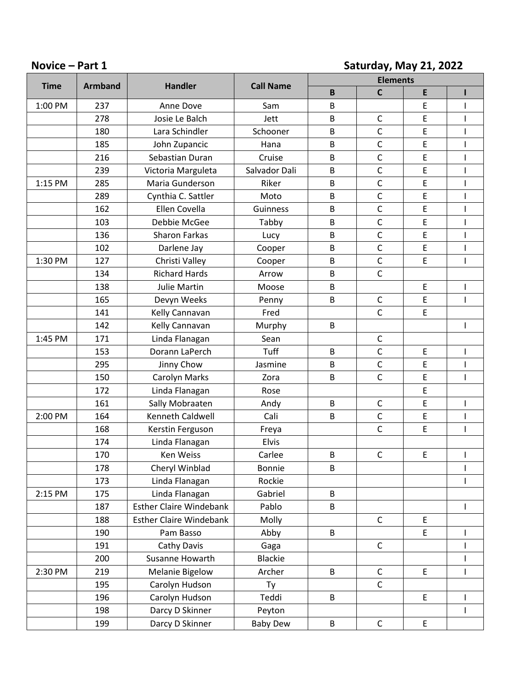## **Novice – Part 1 Saturday, May 21, 2022**

|             |                |                                |                  |             | <b>Elements</b> |   |                          |
|-------------|----------------|--------------------------------|------------------|-------------|-----------------|---|--------------------------|
| <b>Time</b> | <b>Armband</b> | <b>Handler</b>                 | <b>Call Name</b> | $\mathsf B$ | $\mathsf C$     | E |                          |
| 1:00 PM     | 237            | Anne Dove                      | Sam              | B           |                 | E |                          |
|             | 278            | Josie Le Balch                 | Jett             | B           | $\mathsf{C}$    | E |                          |
|             | 180            | Lara Schindler                 | Schooner         | B           | $\mathsf{C}$    | E |                          |
|             | 185            | John Zupancic                  | Hana             | B           | $\mathsf{C}$    | E | I                        |
|             | 216            | Sebastian Duran                | Cruise           | B           | $\mathsf{C}$    | E |                          |
|             | 239            | Victoria Marguleta             | Salvador Dali    | B           | $\mathsf{C}$    | E | $\overline{\phantom{a}}$ |
| 1:15 PM     | 285            | Maria Gunderson                | Riker            | B           | $\mathsf C$     | E |                          |
|             | 289            | Cynthia C. Sattler             | Moto             | B           | $\mathsf{C}$    | E | $\overline{\phantom{a}}$ |
|             | 162            | Ellen Covella                  | Guinness         | B           | $\mathsf C$     | E | ı                        |
|             | 103            | Debbie McGee                   | Tabby            | B           | $\mathsf{C}$    | E | $\mathbf{I}$             |
|             | 136            | Sharon Farkas                  | Lucy             | B           | $\mathsf{C}$    | E |                          |
|             | 102            | Darlene Jay                    | Cooper           | B           | $\mathsf{C}$    | E | $\mathbf{I}$             |
| 1:30 PM     | 127            | Christi Valley                 | Cooper           | B           | $\mathsf C$     | E | ı                        |
|             | 134            | <b>Richard Hards</b>           | Arrow            | B           | $\mathsf{C}$    |   |                          |
|             | 138            | <b>Julie Martin</b>            | Moose            | B           |                 | E |                          |
|             | 165            | Devyn Weeks                    | Penny            | B           | $\mathsf C$     | E | $\mathbf{I}$             |
|             | 141            | Kelly Cannavan                 | Fred             |             | $\mathsf{C}$    | E |                          |
|             | 142            | Kelly Cannavan                 | Murphy           | B           |                 |   |                          |
| 1:45 PM     | 171            | Linda Flanagan                 | Sean             |             | $\mathsf C$     |   |                          |
|             | 153            | Dorann LaPerch                 | Tuff             | B           | $\mathsf{C}$    | E | $\overline{\phantom{a}}$ |
|             | 295            | Jinny Chow                     | Jasmine          | B           | $\mathsf C$     | E |                          |
|             | 150            | Carolyn Marks                  | Zora             | B           | $\mathsf{C}$    | E | $\mathbf{I}$             |
|             | 172            | Linda Flanagan                 | Rose             |             |                 | E |                          |
|             | 161            | Sally Mobraaten                | Andy             | B           | $\mathsf C$     | E | $\mathbf{I}$             |
| 2:00 PM     | 164            | Kenneth Caldwell               | Cali             | B           | $\mathsf C$     | E |                          |
|             | 168            | Kerstin Ferguson               | Freya            |             | $\mathsf{C}$    | E | ı                        |
|             | 174            | Linda Flanagan                 | Elvis            |             |                 |   |                          |
|             | 170            | Ken Weiss                      | Carlee           | B           | $\mathsf C$     | E | $\overline{\phantom{a}}$ |
|             | 178            | Cheryl Winblad                 | Bonnie           | B           |                 |   |                          |
|             | 173            | Linda Flanagan                 | Rockie           |             |                 |   |                          |
| 2:15 PM     | 175            | Linda Flanagan                 | Gabriel          | B           |                 |   |                          |
|             | 187            | <b>Esther Claire Windebank</b> | Pablo            | B           |                 |   | $\mathsf{I}$             |
|             | 188            | <b>Esther Claire Windebank</b> | Molly            |             | $\mathsf C$     | E |                          |
|             | 190            | Pam Basso                      | Abby             | B           |                 | E |                          |
|             | 191            | Cathy Davis                    | Gaga             |             | $\mathsf C$     |   |                          |
|             | 200            | Susanne Howarth                | <b>Blackie</b>   |             |                 |   |                          |
| 2:30 PM     | 219            | <b>Melanie Bigelow</b>         | Archer           | B           | $\mathsf C$     | E | $\mathbf{I}$             |
|             | 195            | Carolyn Hudson                 | Ty               |             | $\mathsf C$     |   |                          |
|             | 196            | Carolyn Hudson                 | Teddi            | B           |                 | E | $\mathbf{I}$             |
|             | 198            | Darcy D Skinner                | Peyton           |             |                 |   | $\mathbf{I}$             |
|             | 199            | Darcy D Skinner                | <b>Baby Dew</b>  | B           | $\mathsf C$     | E |                          |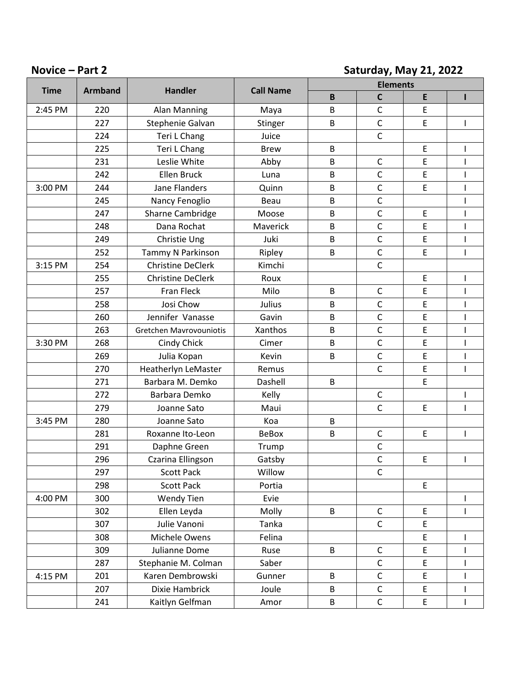## **Novice – Part 2 Saturday, May 21, 2022**

|             |                |                          |                  | <b>Elements</b> |              |                                            |                                                                                                                                                                                                                                                                                                                                                                                  |
|-------------|----------------|--------------------------|------------------|-----------------|--------------|--------------------------------------------|----------------------------------------------------------------------------------------------------------------------------------------------------------------------------------------------------------------------------------------------------------------------------------------------------------------------------------------------------------------------------------|
| <b>Time</b> | <b>Armband</b> | <b>Handler</b>           | <b>Call Name</b> | $\mathsf B$     | $\mathsf{C}$ | E                                          | п                                                                                                                                                                                                                                                                                                                                                                                |
| 2:45 PM     | 220            | Alan Manning             | Maya             | B               | $\mathsf C$  | E                                          |                                                                                                                                                                                                                                                                                                                                                                                  |
|             | 227            | Stephenie Galvan         | Stinger          | B               | $\mathsf C$  | E                                          | $\mathbf{I}$                                                                                                                                                                                                                                                                                                                                                                     |
|             | 224            | Teri L Chang             | Juice            |                 | $\mathsf C$  |                                            |                                                                                                                                                                                                                                                                                                                                                                                  |
|             | 225            | Teri L Chang             | <b>Brew</b>      | B               |              | $\mathsf E$                                | I                                                                                                                                                                                                                                                                                                                                                                                |
|             | 231            | Leslie White             | Abby             | B               | $\mathsf C$  | E                                          | $\mathbf{I}$                                                                                                                                                                                                                                                                                                                                                                     |
|             | 242            | Ellen Bruck              | Luna             | B               | C            | E                                          | $\mathsf{I}$                                                                                                                                                                                                                                                                                                                                                                     |
| 3:00 PM     | 244            | <b>Jane Flanders</b>     | Quinn            | B               | $\mathsf C$  | E                                          | $\mathsf{I}$                                                                                                                                                                                                                                                                                                                                                                     |
|             | 245            | Nancy Fenoglio           | Beau             | B               | $\mathsf C$  |                                            | $\mathbf{I}$                                                                                                                                                                                                                                                                                                                                                                     |
|             | 247            | Sharne Cambridge         | Moose            | B               | $\mathsf{C}$ | $\mathsf E$                                | $\mathbf{I}$                                                                                                                                                                                                                                                                                                                                                                     |
|             | 248            | Dana Rochat              | Maverick         | B               | $\mathsf C$  | E                                          | $\mathbf{I}$                                                                                                                                                                                                                                                                                                                                                                     |
|             | 249            | Christie Ung             | Juki             | B               | $\mathsf C$  | $\mathsf E$                                | $\mathbf{I}$                                                                                                                                                                                                                                                                                                                                                                     |
|             | 252            | Tammy N Parkinson        | Ripley           | B               | $\mathsf C$  | E                                          | $\mathbf{I}$                                                                                                                                                                                                                                                                                                                                                                     |
| 3:15 PM     | 254            | <b>Christine DeClerk</b> | Kimchi           |                 | $\mathsf C$  |                                            |                                                                                                                                                                                                                                                                                                                                                                                  |
|             | 255            | <b>Christine DeClerk</b> | Roux             |                 |              | E                                          | $\mathsf{I}$                                                                                                                                                                                                                                                                                                                                                                     |
|             | 257            | <b>Fran Fleck</b>        | Milo             | B               | $\mathsf C$  | E                                          | $\mathbf{I}$                                                                                                                                                                                                                                                                                                                                                                     |
|             | 258            | Josi Chow                | Julius           | B               | $\mathsf C$  | E                                          | $\begin{array}{c} \rule{0pt}{2.5ex} \rule{0pt}{2.5ex} \rule{0pt}{2.5ex} \rule{0pt}{2.5ex} \rule{0pt}{2.5ex} \rule{0pt}{2.5ex} \rule{0pt}{2.5ex} \rule{0pt}{2.5ex} \rule{0pt}{2.5ex} \rule{0pt}{2.5ex} \rule{0pt}{2.5ex} \rule{0pt}{2.5ex} \rule{0pt}{2.5ex} \rule{0pt}{2.5ex} \rule{0pt}{2.5ex} \rule{0pt}{2.5ex} \rule{0pt}{2.5ex} \rule{0pt}{2.5ex} \rule{0pt}{2.5ex} \rule{0$ |
|             | 260            | Jennifer Vanasse         | Gavin            | B               | $\mathsf C$  | E                                          | $\overline{\phantom{a}}$                                                                                                                                                                                                                                                                                                                                                         |
|             | 263            | Gretchen Mavrovouniotis  | Xanthos          | B               | $\mathsf C$  | E                                          | $\overline{\phantom{a}}$                                                                                                                                                                                                                                                                                                                                                         |
| 3:30 PM     | 268            | Cindy Chick              | Cimer            | B               | $\mathsf C$  | E                                          | $\mathbf{I}$                                                                                                                                                                                                                                                                                                                                                                     |
|             | 269            | Julia Kopan              | Kevin            | B               | $\mathsf C$  | E                                          | $\overline{\phantom{a}}$                                                                                                                                                                                                                                                                                                                                                         |
|             | 270            | Heatherlyn LeMaster      | Remus            |                 | $\mathsf{C}$ | E                                          | $\mathbf{I}$                                                                                                                                                                                                                                                                                                                                                                     |
|             | 271            | Barbara M. Demko         | Dashell          | B               |              | E                                          |                                                                                                                                                                                                                                                                                                                                                                                  |
|             | 272            | Barbara Demko            | Kelly            |                 | $\mathsf C$  |                                            | $\mathbf{I}$                                                                                                                                                                                                                                                                                                                                                                     |
|             | 279            | Joanne Sato              | Maui             |                 | $\mathsf{C}$ | E                                          | $\overline{1}$                                                                                                                                                                                                                                                                                                                                                                   |
| 3:45 PM     | 280            | Joanne Sato              | Koa              | B               |              |                                            |                                                                                                                                                                                                                                                                                                                                                                                  |
|             | 281            | Roxanne Ito-Leon         | <b>BeBox</b>     | B               | $\mathsf{C}$ | $\mathsf E$                                | $\mathsf{I}$                                                                                                                                                                                                                                                                                                                                                                     |
|             | 291            | Daphne Green             | Trump            |                 | C            |                                            |                                                                                                                                                                                                                                                                                                                                                                                  |
|             | 296            | Czarina Ellingson        | Gatsby           |                 | $\mathsf C$  | E                                          | $\mathbf{I}$                                                                                                                                                                                                                                                                                                                                                                     |
|             | 297            | <b>Scott Pack</b>        | Willow           |                 | C            |                                            |                                                                                                                                                                                                                                                                                                                                                                                  |
|             | 298            | <b>Scott Pack</b>        | Portia           |                 |              | E                                          |                                                                                                                                                                                                                                                                                                                                                                                  |
| 4:00 PM     | 300            | <b>Wendy Tien</b>        | Evie             |                 |              |                                            | $\mathbf{I}$                                                                                                                                                                                                                                                                                                                                                                     |
|             | 302            | Ellen Leyda              | Molly            | B               | $\mathsf C$  | $\mathsf{E}$                               | $\mathbf{I}$                                                                                                                                                                                                                                                                                                                                                                     |
|             | 307            | Julie Vanoni             | Tanka            |                 | $\mathsf C$  | E                                          |                                                                                                                                                                                                                                                                                                                                                                                  |
|             | 308            | Michele Owens            | Felina           |                 |              | $\mathsf{E}% _{0}\left( \mathsf{E}\right)$ | $\mathbf{I}$                                                                                                                                                                                                                                                                                                                                                                     |
|             | 309            | Julianne Dome            | Ruse             | B               | C            | $\mathsf E$                                | I                                                                                                                                                                                                                                                                                                                                                                                |
|             | 287            | Stephanie M. Colman      | Saber            |                 | $\mathsf C$  | $\mathsf{E}% _{0}\left( \mathsf{E}\right)$ | $\mathbf{I}$                                                                                                                                                                                                                                                                                                                                                                     |
| 4:15 PM     | 201            | Karen Dembrowski         | Gunner           | B               | $\mathsf C$  | $\mathsf{E}% _{0}\left( \mathsf{E}\right)$ | L                                                                                                                                                                                                                                                                                                                                                                                |
|             | 207            | Dixie Hambrick           | Joule            | B               | $\mathsf C$  | $\mathsf{E}% _{0}\left( \mathsf{E}\right)$ | $\mathsf{I}$                                                                                                                                                                                                                                                                                                                                                                     |
|             | 241            | Kaitlyn Gelfman          | Amor             | B               | $\mathsf C$  | $\mathsf{E}% _{0}\left( \mathsf{E}\right)$ | $\mathsf{I}$                                                                                                                                                                                                                                                                                                                                                                     |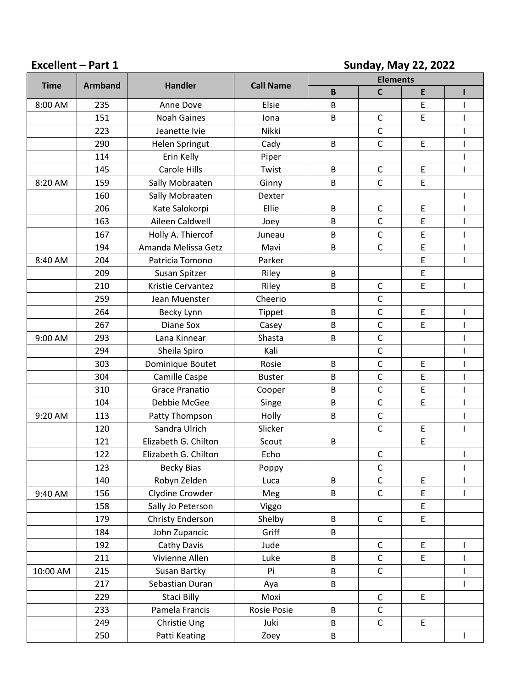# **Excellent – Part 1 Sunday, May 22, 2022**

| <b>Time</b><br><b>Armband</b> |     | <b>Handler</b>        | <b>Call Name</b> | <b>Elements</b> |              |             |                |
|-------------------------------|-----|-----------------------|------------------|-----------------|--------------|-------------|----------------|
|                               |     |                       |                  | B               | $\mathsf{C}$ | E           | Π              |
| 8:00 AM                       | 235 | Anne Dove             | Elsie            | B               |              | $\mathsf E$ |                |
|                               | 151 | <b>Noah Gaines</b>    | Iona             | B               | $\mathsf{C}$ | E           | ı              |
|                               | 223 | Jeanette Ivie         | Nikki            |                 | $\mathsf C$  |             |                |
|                               | 290 | Helen Springut        | Cady             | B               | $\mathsf C$  | E           | $\overline{1}$ |
|                               | 114 | Erin Kelly            | Piper            |                 |              |             | ı              |
|                               | 145 | <b>Carole Hills</b>   | Twist            | B               | $\mathsf C$  | E           | $\mathsf{I}$   |
| 8:20 AM                       | 159 | Sally Mobraaten       | Ginny            | B               | $\mathsf C$  | $\mathsf E$ |                |
|                               | 160 | Sally Mobraaten       | Dexter           |                 |              |             | ı              |
|                               | 206 | Kate Salokorpi        | Ellie            | B               | $\mathsf C$  | $\mathsf E$ |                |
|                               | 163 | Aileen Caldwell       | Joey             | B               | $\mathsf{C}$ | E           | ı              |
|                               | 167 | Holly A. Thiercof     | Juneau           | B               | $\mathsf{C}$ | E           |                |
|                               | 194 | Amanda Melissa Getz   | Mavi             | B               | $\mathsf{C}$ | E           | $\mathsf{I}$   |
| 8:40 AM                       | 204 | Patricia Tomono       | Parker           |                 |              | E           | ı              |
|                               | 209 | Susan Spitzer         | Riley            | B               |              | $\mathsf E$ |                |
|                               | 210 | Kristie Cervantez     | Riley            | B               | $\mathsf C$  | E           |                |
|                               | 259 | Jean Muenster         | Cheerio          |                 | $\mathsf{C}$ |             |                |
|                               | 264 | Becky Lynn            | Tippet           | B               | $\mathsf{C}$ | $\mathsf E$ |                |
|                               | 267 | Diane Sox             | Casey            | B               | $\mathsf C$  | E           |                |
| 9:00 AM                       | 293 | Lana Kinnear          | Shasta           | B               | $\mathsf{C}$ |             |                |
|                               | 294 | Sheila Spiro          | Kali             |                 | $\mathsf{C}$ |             |                |
|                               | 303 | Dominique Boutet      | Rosie            | B               | $\mathsf C$  | $\mathsf E$ |                |
|                               | 304 | Camille Caspe         | <b>Buster</b>    | B               | $\mathsf{C}$ | $\mathsf E$ |                |
|                               | 310 | <b>Grace Pranatio</b> | Cooper           | B               | $\mathsf{C}$ | E           |                |
|                               | 104 | Debbie McGee          | Singe            | B               | $\mathsf{C}$ | $\mathsf E$ |                |
| 9:20 AM                       | 113 | Patty Thompson        | Holly            | B               | $\mathsf{C}$ |             |                |
|                               | 120 | Sandra Ulrich         | Slicker          |                 | $\mathsf{C}$ | $\mathsf E$ | $\overline{1}$ |
|                               | 121 | Elizabeth G. Chilton  | Scout            | B               |              | E           |                |
|                               | 122 | Elizabeth G. Chilton  | Echo             |                 | $\mathsf C$  |             | $\mathsf{I}$   |
|                               | 123 | <b>Becky Bias</b>     | Poppy            |                 | $\mathsf C$  |             | 1              |
|                               | 140 | Robyn Zelden          | Luca             | B               | $\mathsf C$  | $\mathsf E$ |                |
| 9:40 AM                       | 156 | Clydine Crowder       | Meg              | B               | $\mathsf C$  | $\mathsf E$ | $\mathsf{I}$   |
|                               | 158 | Sally Jo Peterson     | Viggo            |                 |              | $\mathsf E$ |                |
|                               | 179 | Christy Enderson      | Shelby           | B               | $\mathsf{C}$ | $\mathsf E$ |                |
|                               | 184 | John Zupancic         | Griff            | B               |              |             |                |
|                               | 192 | Cathy Davis           | Jude             |                 | $\mathsf C$  | $\mathsf E$ | $\mathbf{I}$   |
|                               | 211 | Vivienne Allen        | Luke             | B               | $\mathsf C$  | $\mathsf E$ |                |
| 10:00 AM                      | 215 | Susan Bartky          | Pi               | B               | $\mathsf C$  |             |                |
|                               | 217 | Sebastian Duran       | Aya              | B               |              |             |                |
|                               | 229 | Staci Billy           | Moxi             |                 | $\mathsf C$  | $\mathsf E$ |                |
|                               | 233 | Pamela Francis        | Rosie Posie      | B               | $\mathsf C$  |             |                |
|                               | 249 | Christie Ung          | Juki             | B               | $\mathsf C$  | $\mathsf E$ |                |
|                               | 250 | Patti Keating         | Zoey             | B               |              |             | $\mathsf{I}$   |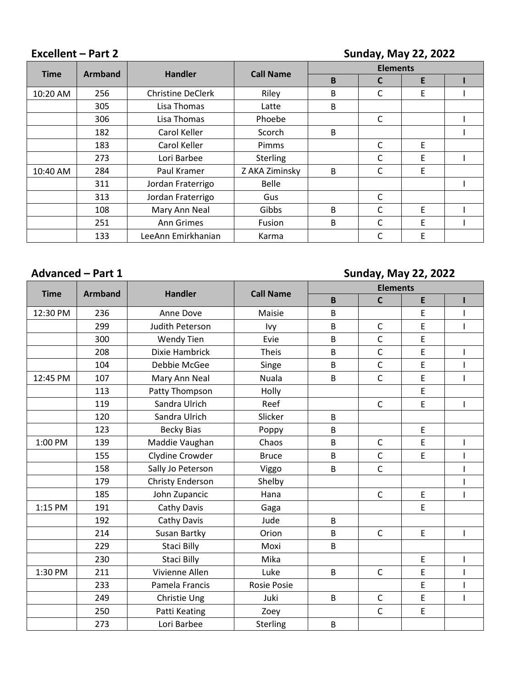# **Excellent – Part 2 Sunday, May 22, 2022**

| <b>Time</b><br><b>Armband</b> |     | <b>Handler</b>           | <b>Call Name</b> | <b>Elements</b> |              |   |  |
|-------------------------------|-----|--------------------------|------------------|-----------------|--------------|---|--|
|                               |     |                          |                  | B               | C            | E |  |
| 10:20 AM                      | 256 | <b>Christine DeClerk</b> | Riley            | В               | С            | E |  |
|                               | 305 | Lisa Thomas              | Latte            | B               |              |   |  |
|                               | 306 | Lisa Thomas              | Phoebe           |                 | C            |   |  |
|                               | 182 | Carol Keller             | Scorch           | В               |              |   |  |
|                               | 183 | Carol Keller             | Pimms            |                 | $\mathsf{C}$ | E |  |
|                               | 273 | Lori Barbee              | <b>Sterling</b>  |                 | C            | E |  |
| 10:40 AM                      | 284 | Paul Kramer              | Z AKA Ziminsky   | B               | С            | E |  |
|                               | 311 | Jordan Fraterrigo        | <b>Belle</b>     |                 |              |   |  |
|                               | 313 | Jordan Fraterrigo        | Gus              |                 | C            |   |  |
|                               | 108 | Mary Ann Neal            | Gibbs            | В               | С            | E |  |
|                               | 251 | Ann Grimes               | Fusion           | B               | C            | E |  |
|                               | 133 | LeeAnn Emirkhanian       | Karma            |                 | C            | E |  |

# **Advanced – Part 1 Sunday, May 22, 2022**

| <b>Time</b> | <b>Armband</b> | <b>Handler</b>    | <b>Call Name</b>   | <b>Elements</b> |              |             |                          |
|-------------|----------------|-------------------|--------------------|-----------------|--------------|-------------|--------------------------|
|             |                |                   |                    | $\mathsf B$     | $\mathsf{C}$ | E           | ı                        |
| 12:30 PM    | 236            | Anne Dove         | Maisie             | B               |              | E           |                          |
|             | 299            | Judith Peterson   | lvy                | B               | $\mathsf C$  | E           |                          |
|             | 300            | <b>Wendy Tien</b> | Evie               | B               | $\mathsf{C}$ | E           |                          |
|             | 208            | Dixie Hambrick    | <b>Theis</b>       | B               | $\mathsf{C}$ | E           |                          |
|             | 104            | Debbie McGee      | Singe              | B               | $\mathsf{C}$ | E           |                          |
| 12:45 PM    | 107            | Mary Ann Neal     | <b>Nuala</b>       | B               | $\mathsf{C}$ | E           | $\mathbf{I}$             |
|             | 113            | Patty Thompson    | Holly              |                 |              | E           |                          |
|             | 119            | Sandra Ulrich     | Reef               |                 | $\mathsf{C}$ | E           | ı                        |
|             | 120            | Sandra Ulrich     | Slicker            | B               |              |             |                          |
|             | 123            | <b>Becky Bias</b> | Poppy              | B               |              | E           |                          |
| 1:00 PM     | 139            | Maddie Vaughan    | Chaos              | B               | $\mathsf{C}$ | E           |                          |
|             | 155            | Clydine Crowder   | <b>Bruce</b>       | B               | $\mathsf C$  | E           |                          |
|             | 158            | Sally Jo Peterson | Viggo              | B               | $\mathsf{C}$ |             |                          |
|             | 179            | Christy Enderson  | Shelby             |                 |              |             |                          |
|             | 185            | John Zupancic     | Hana               |                 | $\mathsf{C}$ | $\mathsf E$ |                          |
| 1:15 PM     | 191            | Cathy Davis       | Gaga               |                 |              | E           |                          |
|             | 192            | Cathy Davis       | Jude               | В               |              |             |                          |
|             | 214            | Susan Bartky      | Orion              | B               | $\mathsf{C}$ | E           | $\mathbf{I}$             |
|             | 229            | Staci Billy       | Moxi               | B               |              |             |                          |
|             | 230            | Staci Billy       | Mika               |                 |              | E           |                          |
| 1:30 PM     | 211            | Vivienne Allen    | Luke               | $\sf B$         | $\mathsf{C}$ | $\mathsf E$ | $\mathsf{I}$             |
|             | 233            | Pamela Francis    | <b>Rosie Posie</b> |                 |              | E           |                          |
|             | 249            | Christie Ung      | Juki               | B               | $\mathsf C$  | $\mathsf E$ | $\overline{\phantom{a}}$ |
|             | 250            | Patti Keating     | Zoey               |                 | $\mathsf{C}$ | $\mathsf E$ |                          |
|             | 273            | Lori Barbee       | Sterling           | B               |              |             |                          |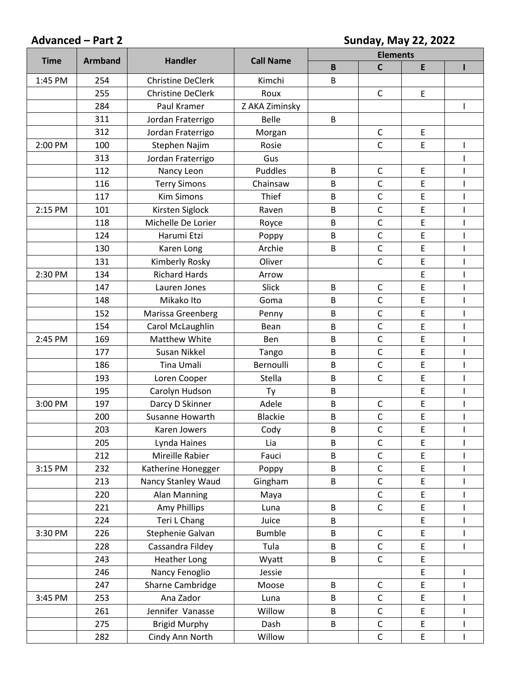# **Advanced – Part 2 Sunday, May 22, 2022**

| <b>Time</b><br><b>Armband</b><br><b>Handler</b> |     | <b>Call Name</b>         | <b>Elements</b> |   |              |                                            |                                                                                                                                                                                                                                                                                                                                                                                                                |
|-------------------------------------------------|-----|--------------------------|-----------------|---|--------------|--------------------------------------------|----------------------------------------------------------------------------------------------------------------------------------------------------------------------------------------------------------------------------------------------------------------------------------------------------------------------------------------------------------------------------------------------------------------|
|                                                 |     |                          |                 | B | $\mathsf{C}$ | E                                          | ı                                                                                                                                                                                                                                                                                                                                                                                                              |
| 1:45 PM                                         | 254 | <b>Christine DeClerk</b> | Kimchi          | B |              |                                            |                                                                                                                                                                                                                                                                                                                                                                                                                |
|                                                 | 255 | <b>Christine DeClerk</b> | Roux            |   | $\mathsf{C}$ | E                                          |                                                                                                                                                                                                                                                                                                                                                                                                                |
|                                                 | 284 | Paul Kramer              | Z AKA Ziminsky  |   |              |                                            |                                                                                                                                                                                                                                                                                                                                                                                                                |
|                                                 | 311 | Jordan Fraterrigo        | <b>Belle</b>    | B |              |                                            |                                                                                                                                                                                                                                                                                                                                                                                                                |
|                                                 | 312 | Jordan Fraterrigo        | Morgan          |   | C            | E                                          |                                                                                                                                                                                                                                                                                                                                                                                                                |
| 2:00 PM                                         | 100 | Stephen Najim            | Rosie           |   | $\mathsf{C}$ | $\mathsf E$                                | ı                                                                                                                                                                                                                                                                                                                                                                                                              |
|                                                 | 313 | Jordan Fraterrigo        | Gus             |   |              |                                            |                                                                                                                                                                                                                                                                                                                                                                                                                |
|                                                 | 112 | Nancy Leon               | Puddles         | B | $\mathsf C$  | $\mathsf E$                                |                                                                                                                                                                                                                                                                                                                                                                                                                |
|                                                 | 116 | <b>Terry Simons</b>      | Chainsaw        | B | $\mathsf{C}$ | E                                          |                                                                                                                                                                                                                                                                                                                                                                                                                |
|                                                 | 117 | <b>Kim Simons</b>        | Thief           | B | $\mathsf{C}$ | $\mathsf{E}% _{0}\left( \mathsf{E}\right)$ |                                                                                                                                                                                                                                                                                                                                                                                                                |
| 2:15 PM                                         | 101 | Kirsten Siglock          | Raven           | B | $\mathsf{C}$ | E                                          |                                                                                                                                                                                                                                                                                                                                                                                                                |
|                                                 | 118 | Michelle De Lorier       | Royce           | B | $\mathsf C$  | E                                          |                                                                                                                                                                                                                                                                                                                                                                                                                |
|                                                 | 124 | Harumi Etzi              | Poppy           | B | $\mathsf{C}$ | E                                          |                                                                                                                                                                                                                                                                                                                                                                                                                |
|                                                 | 130 | Karen Long               | Archie          | B | $\mathsf{C}$ | E                                          |                                                                                                                                                                                                                                                                                                                                                                                                                |
|                                                 | 131 | Kimberly Rosky           | Oliver          |   | $\mathsf{C}$ | E                                          |                                                                                                                                                                                                                                                                                                                                                                                                                |
| 2:30 PM                                         | 134 | <b>Richard Hards</b>     | Arrow           |   |              | E                                          | $\mathbf{I}$                                                                                                                                                                                                                                                                                                                                                                                                   |
|                                                 | 147 | Lauren Jones             | Slick           | B | $\mathsf{C}$ | E                                          | $\mathsf I$                                                                                                                                                                                                                                                                                                                                                                                                    |
|                                                 | 148 | Mikako Ito               | Goma            | B | $\mathsf C$  | E                                          | $\overline{\phantom{a}}$                                                                                                                                                                                                                                                                                                                                                                                       |
|                                                 | 152 | Marissa Greenberg        | Penny           | B | $\mathsf{C}$ | E                                          | $\overline{1}$                                                                                                                                                                                                                                                                                                                                                                                                 |
|                                                 | 154 | Carol McLaughlin         | Bean            | B | $\mathsf{C}$ | E                                          | ı                                                                                                                                                                                                                                                                                                                                                                                                              |
| 2:45 PM                                         | 169 | <b>Matthew White</b>     | Ben             | B | $\mathsf{C}$ | E                                          | $\mathsf{I}$                                                                                                                                                                                                                                                                                                                                                                                                   |
|                                                 | 177 | Susan Nikkel             | Tango           | B | $\mathsf{C}$ | $\mathsf E$                                | ı                                                                                                                                                                                                                                                                                                                                                                                                              |
|                                                 | 186 | Tina Umali               | Bernoulli       | B | $\mathsf{C}$ | E                                          | $\mathsf{l}$                                                                                                                                                                                                                                                                                                                                                                                                   |
|                                                 | 193 | Loren Cooper             | Stella          | B | $\mathsf C$  | E                                          |                                                                                                                                                                                                                                                                                                                                                                                                                |
|                                                 | 195 | Carolyn Hudson           | Ty              | B |              | $\mathsf E$                                | $\overline{1}$                                                                                                                                                                                                                                                                                                                                                                                                 |
| 3:00 PM                                         | 197 | Darcy D Skinner          | Adele           | B | $\mathsf C$  | E                                          | ı                                                                                                                                                                                                                                                                                                                                                                                                              |
|                                                 | 200 | Susanne Howarth          | <b>Blackie</b>  | B | $\mathsf{C}$ | $\mathsf E$                                | ı                                                                                                                                                                                                                                                                                                                                                                                                              |
|                                                 | 203 | Karen Jowers             | Cody            | B | $\mathsf{C}$ | E                                          |                                                                                                                                                                                                                                                                                                                                                                                                                |
|                                                 | 205 | Lynda Haines             | Lia             | B | C            | $\mathsf E$                                |                                                                                                                                                                                                                                                                                                                                                                                                                |
|                                                 | 212 | Mireille Rabier          | Fauci           | B | $\mathsf{C}$ | E                                          |                                                                                                                                                                                                                                                                                                                                                                                                                |
| 3:15 PM                                         | 232 | Katherine Honegger       | Poppy           | B | $\mathsf C$  | $\mathsf E$                                |                                                                                                                                                                                                                                                                                                                                                                                                                |
|                                                 | 213 | Nancy Stanley Waud       | Gingham         | B | $\mathsf C$  | E                                          |                                                                                                                                                                                                                                                                                                                                                                                                                |
|                                                 | 220 | Alan Manning             | Maya            |   | $\mathsf C$  | E                                          | $\mathsf{I}$                                                                                                                                                                                                                                                                                                                                                                                                   |
|                                                 | 221 | Amy Phillips             | Luna            | B | $\mathsf{C}$ | E                                          |                                                                                                                                                                                                                                                                                                                                                                                                                |
|                                                 | 224 | Teri L Chang             | Juice           | B |              | $\mathsf E$                                |                                                                                                                                                                                                                                                                                                                                                                                                                |
| 3:30 PM                                         | 226 | Stephenie Galvan         | <b>Bumble</b>   | B | $\mathsf C$  | $\mathsf E$                                |                                                                                                                                                                                                                                                                                                                                                                                                                |
|                                                 | 228 | Cassandra Fildey         | Tula            | B | $\mathsf C$  | $\mathsf E$                                | ı                                                                                                                                                                                                                                                                                                                                                                                                              |
|                                                 | 243 | <b>Heather Long</b>      | Wyatt           | B | $\mathsf C$  | E                                          |                                                                                                                                                                                                                                                                                                                                                                                                                |
|                                                 | 246 | Nancy Fenoglio           | Jessie          |   |              | $\mathsf E$                                |                                                                                                                                                                                                                                                                                                                                                                                                                |
|                                                 | 247 | Sharne Cambridge         | Moose           | B | $\mathsf C$  | $\mathsf E$                                |                                                                                                                                                                                                                                                                                                                                                                                                                |
| 3:45 PM                                         | 253 | Ana Zador                | Luna            | B | $\mathsf C$  | $\mathsf E$                                | ı                                                                                                                                                                                                                                                                                                                                                                                                              |
|                                                 | 261 | Jennifer Vanasse         | Willow          | B | $\mathsf C$  | $\mathsf E$                                |                                                                                                                                                                                                                                                                                                                                                                                                                |
|                                                 | 275 | <b>Brigid Murphy</b>     | Dash            | B | $\mathsf C$  | $\mathsf E$                                | I                                                                                                                                                                                                                                                                                                                                                                                                              |
|                                                 | 282 | Cindy Ann North          | Willow          |   | $\mathsf C$  | $\mathsf E$                                | $\begin{array}{c} \rule{0pt}{2ex} \rule{0pt}{2ex} \rule{0pt}{2ex} \rule{0pt}{2ex} \rule{0pt}{2ex} \rule{0pt}{2ex} \rule{0pt}{2ex} \rule{0pt}{2ex} \rule{0pt}{2ex} \rule{0pt}{2ex} \rule{0pt}{2ex} \rule{0pt}{2ex} \rule{0pt}{2ex} \rule{0pt}{2ex} \rule{0pt}{2ex} \rule{0pt}{2ex} \rule{0pt}{2ex} \rule{0pt}{2ex} \rule{0pt}{2ex} \rule{0pt}{2ex} \rule{0pt}{2ex} \rule{0pt}{2ex} \rule{0pt}{2ex} \rule{0pt}{$ |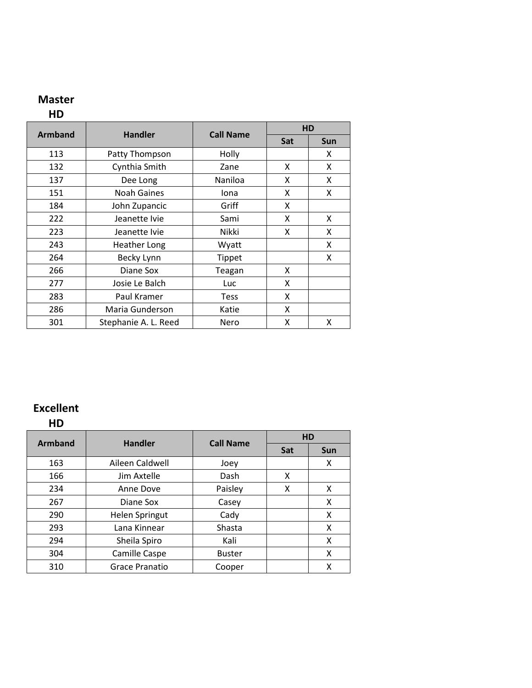# **Master**

## **HD**

|                |                      |                  | HD  |     |
|----------------|----------------------|------------------|-----|-----|
| <b>Armband</b> | <b>Handler</b>       | <b>Call Name</b> | Sat | Sun |
| 113            | Patty Thompson       | Holly            |     | X   |
| 132            | Cynthia Smith        | Zane             | x   | X   |
| 137            | Dee Long             | Naniloa          | x   | x   |
| 151            | Noah Gaines          | Iona             | x   | X   |
| 184            | John Zupancic        | Griff            | x   |     |
| 222            | Jeanette Ivie        | Sami             | x   | x   |
| 223            | Jeanette Ivie        | Nikki            | x   | x   |
| 243            | <b>Heather Long</b>  | Wyatt            |     | X   |
| 264            | Becky Lynn           | Tippet           |     | x   |
| 266            | Diane Sox            | Teagan           | x   |     |
| 277            | Josie Le Balch       | Luc              | x   |     |
| 283            | Paul Kramer          | <b>Tess</b>      | Χ   |     |
| 286            | Maria Gunderson      | Katie            | x   |     |
| 301            | Stephanie A. L. Reed | Nero             | X   | x   |

# **Excellent**

**HD**

| <b>Armband</b> | <b>Handler</b>        | <b>Call Name</b> | <b>HD</b> |     |
|----------------|-----------------------|------------------|-----------|-----|
|                |                       |                  | Sat       | Sun |
| 163            | Aileen Caldwell       | Joey             |           | x   |
| 166            | Jim Axtelle           | Dash             | x         |     |
| 234            | Anne Dove             | Paisley          | x         | x   |
| 267            | Diane Sox             | Casey            |           | x   |
| 290            | <b>Helen Springut</b> | Cady             |           | X   |
| 293            | Lana Kinnear          | Shasta           |           | x   |
| 294            | Sheila Spiro          | Kali             |           | x   |
| 304            | Camille Caspe         | <b>Buster</b>    |           | x   |
| 310            | <b>Grace Pranatio</b> | Cooper           |           | x   |